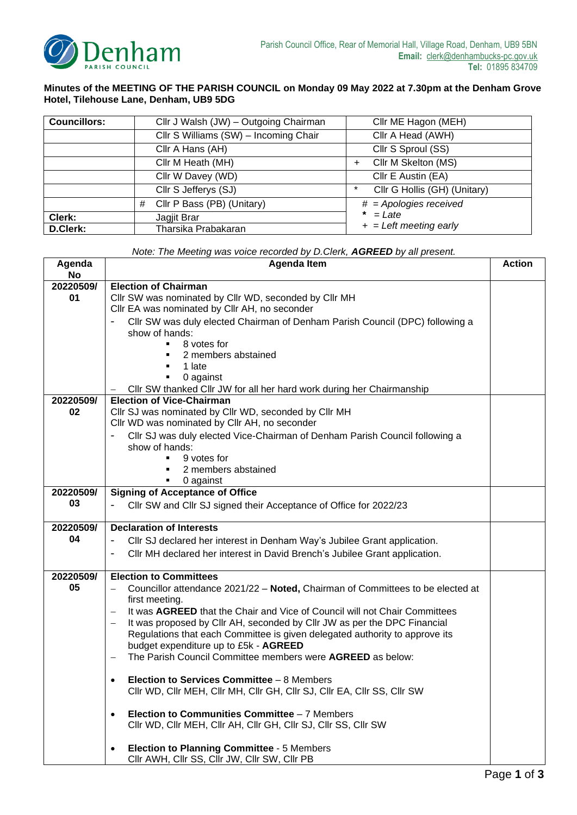

## **Minutes of the MEETING OF THE PARISH COUNCIL on Monday 09 May 2022 at 7.30pm at the Denham Grove Hotel, Tilehouse Lane, Denham, UB9 5DG**

| <b>Councillors:</b> | Cllr J Walsh (JW) - Outgoing Chairman | Cllr ME Hagon (MEH)                    |
|---------------------|---------------------------------------|----------------------------------------|
|                     | Cllr S Williams (SW) - Incoming Chair | Cllr A Head (AWH)                      |
|                     | Cllr A Hans (AH)                      | Cllr S Sproul (SS)                     |
|                     | Cllr M Heath (MH)                     | Cllr M Skelton (MS)<br>$\ddot{}$       |
|                     | Cllr W Davey (WD)                     | Cllr E Austin (EA)                     |
|                     | Cllr S Jefferys (SJ)                  | Cllr G Hollis (GH) (Unitary)<br>$\ast$ |
|                     | Cllr P Bass (PB) (Unitary)<br>#       | $#$ = Apologies received               |
| Clerk:              | Jagjit Brar                           | $* = \text{Later}$                     |
| D.Clerk:            | Tharsika Prabakaran                   | $+$ = Left meeting early               |

| Note: The Meeting was voice recorded by D.Clerk, AGREED by all present. |  |  |  |
|-------------------------------------------------------------------------|--|--|--|
|                                                                         |  |  |  |

|                                                                                                        | <b>Action</b>                                                     |  |  |  |
|--------------------------------------------------------------------------------------------------------|-------------------------------------------------------------------|--|--|--|
| No                                                                                                     |                                                                   |  |  |  |
| 20220509/<br><b>Election of Chairman</b>                                                               |                                                                   |  |  |  |
| Cllr SW was nominated by Cllr WD, seconded by Cllr MH<br>01                                            |                                                                   |  |  |  |
| Cllr EA was nominated by Cllr AH, no seconder                                                          |                                                                   |  |  |  |
| Cllr SW was duly elected Chairman of Denham Parish Council (DPC) following a                           |                                                                   |  |  |  |
| show of hands:                                                                                         |                                                                   |  |  |  |
| 8 votes for                                                                                            |                                                                   |  |  |  |
| 2 members abstained                                                                                    |                                                                   |  |  |  |
| 1 late                                                                                                 |                                                                   |  |  |  |
| 0 against                                                                                              |                                                                   |  |  |  |
| Cllr SW thanked Cllr JW for all her hard work during her Chairmanship                                  |                                                                   |  |  |  |
| 20220509/<br><b>Election of Vice-Chairman</b>                                                          |                                                                   |  |  |  |
| 02<br>Cllr SJ was nominated by Cllr WD, seconded by Cllr MH                                            |                                                                   |  |  |  |
| Cllr WD was nominated by Cllr AH, no seconder                                                          |                                                                   |  |  |  |
| Cllr SJ was duly elected Vice-Chairman of Denham Parish Council following a                            |                                                                   |  |  |  |
| show of hands:                                                                                         |                                                                   |  |  |  |
| 9 votes for                                                                                            |                                                                   |  |  |  |
| 2 members abstained                                                                                    |                                                                   |  |  |  |
| 0 against                                                                                              |                                                                   |  |  |  |
| 20220509/                                                                                              | <b>Signing of Acceptance of Office</b>                            |  |  |  |
| 03                                                                                                     | Cllr SW and Cllr SJ signed their Acceptance of Office for 2022/23 |  |  |  |
|                                                                                                        |                                                                   |  |  |  |
| <b>Declaration of Interests</b><br>20220509/                                                           |                                                                   |  |  |  |
| 04<br>CIIr SJ declared her interest in Denham Way's Jubilee Grant application.                         |                                                                   |  |  |  |
| CIIr MH declared her interest in David Brench's Jubilee Grant application.<br>$\overline{\phantom{a}}$ |                                                                   |  |  |  |
|                                                                                                        |                                                                   |  |  |  |
| 20220509/<br><b>Election to Committees</b>                                                             |                                                                   |  |  |  |
| 05<br>Councillor attendance 2021/22 - Noted, Chairman of Committees to be elected at                   |                                                                   |  |  |  |
| first meeting.                                                                                         |                                                                   |  |  |  |
| It was AGREED that the Chair and Vice of Council will not Chair Committees                             |                                                                   |  |  |  |
| It was proposed by Cllr AH, seconded by Cllr JW as per the DPC Financial                               |                                                                   |  |  |  |
| Regulations that each Committee is given delegated authority to approve its                            |                                                                   |  |  |  |
| budget expenditure up to £5k - AGREED                                                                  |                                                                   |  |  |  |
| The Parish Council Committee members were AGREED as below:                                             |                                                                   |  |  |  |
|                                                                                                        |                                                                   |  |  |  |
| Election to Services Committee - 8 Members<br>$\bullet$                                                |                                                                   |  |  |  |
| Clir WD, Clir MEH, Clir MH, Clir GH, Clir SJ, Clir EA, Clir SS, Clir SW                                |                                                                   |  |  |  |
|                                                                                                        |                                                                   |  |  |  |
| Election to Communities Committee - 7 Members<br>$\bullet$                                             |                                                                   |  |  |  |
| Clir WD, Clir MEH, Clir AH, Clir GH, Clir SJ, Clir SS, Clir SW                                         |                                                                   |  |  |  |
|                                                                                                        |                                                                   |  |  |  |
| <b>Election to Planning Committee - 5 Members</b><br>$\bullet$                                         |                                                                   |  |  |  |
| Clir AWH, Clir SS, Clir JW, Clir SW, Clir PB                                                           |                                                                   |  |  |  |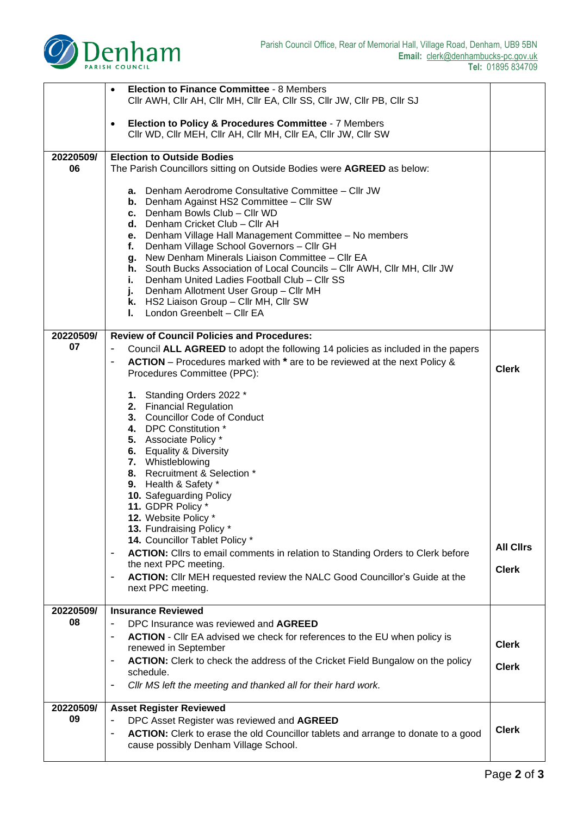

|                 | Election to Finance Committee - 8 Members<br>$\bullet$<br>CIIr AWH, CIIr AH, CIIr MH, CIIr EA, CIIr SS, CIIr JW, CIIr PB, CIIr SJ                                                                                                                                                                                                                                                                                                                                                                                                                                                                                                                                   |                                  |  |
|-----------------|---------------------------------------------------------------------------------------------------------------------------------------------------------------------------------------------------------------------------------------------------------------------------------------------------------------------------------------------------------------------------------------------------------------------------------------------------------------------------------------------------------------------------------------------------------------------------------------------------------------------------------------------------------------------|----------------------------------|--|
|                 | Election to Policy & Procedures Committee - 7 Members<br>$\bullet$<br>CIIr WD, CIIr MEH, CIIr AH, CIIr MH, CIIr EA, CIIr JW, CIIr SW                                                                                                                                                                                                                                                                                                                                                                                                                                                                                                                                |                                  |  |
| 20220509/<br>06 | <b>Election to Outside Bodies</b><br>The Parish Councillors sitting on Outside Bodies were AGREED as below:                                                                                                                                                                                                                                                                                                                                                                                                                                                                                                                                                         |                                  |  |
|                 | Denham Aerodrome Consultative Committee - Cllr JW<br>а.<br><b>b.</b> Denham Against HS2 Committee - Cllr SW<br>c. Denham Bowls Club - Cllr WD<br>d. Denham Cricket Club - Cllr AH<br>Denham Village Hall Management Committee - No members<br>е.<br>Denham Village School Governors - Cllr GH<br>f.<br>New Denham Minerals Liaison Committee - Cllr EA<br>g.<br>h. South Bucks Association of Local Councils - Cllr AWH, Cllr MH, Cllr JW<br>Denham United Ladies Football Club - Cllr SS<br>i.<br>Denham Allotment User Group - Cllr MH<br>J.<br>k. HS2 Liaison Group - Cllr MH, Cllr SW<br>London Greenbelt - Cllr EA<br>L.                                       |                                  |  |
| 20220509/       | <b>Review of Council Policies and Procedures:</b>                                                                                                                                                                                                                                                                                                                                                                                                                                                                                                                                                                                                                   |                                  |  |
| 07              | Council ALL AGREED to adopt the following 14 policies as included in the papers<br>-<br>ACTION - Procedures marked with * are to be reviewed at the next Policy &<br>-<br>Procedures Committee (PPC):                                                                                                                                                                                                                                                                                                                                                                                                                                                               | <b>Clerk</b>                     |  |
|                 | 1. Standing Orders 2022 *<br>2. Financial Regulation<br>3. Councillor Code of Conduct<br>4. DPC Constitution *<br>5. Associate Policy *<br>6. Equality & Diversity<br>7. Whistleblowing<br>8. Recruitment & Selection *<br>9. Health & Safety *<br>10. Safeguarding Policy<br>11. GDPR Policy *<br>12. Website Policy<br>13. Fundraising Policy *<br>14. Councillor Tablet Policy *<br>ACTION: Cllrs to email comments in relation to Standing Orders to Clerk before<br>$\overline{\phantom{0}}$<br>the next PPC meeting.<br><b>ACTION:</b> Clir MEH requested review the NALC Good Councillor's Guide at the<br>$\qquad \qquad \blacksquare$<br>next PPC meeting. | <b>All Clirs</b><br><b>Clerk</b> |  |
| 20220509/<br>08 | <b>Insurance Reviewed</b>                                                                                                                                                                                                                                                                                                                                                                                                                                                                                                                                                                                                                                           |                                  |  |
|                 | DPC Insurance was reviewed and AGREED<br>$\overline{\phantom{a}}$<br><b>ACTION</b> - Cllr EA advised we check for references to the EU when policy is<br>$\blacksquare$<br>renewed in September<br><b>ACTION:</b> Clerk to check the address of the Cricket Field Bungalow on the policy<br>$\qquad \qquad \blacksquare$<br>schedule.<br>Cllr MS left the meeting and thanked all for their hard work.                                                                                                                                                                                                                                                              | <b>Clerk</b><br><b>Clerk</b>     |  |
| 20220509/       | <b>Asset Register Reviewed</b>                                                                                                                                                                                                                                                                                                                                                                                                                                                                                                                                                                                                                                      |                                  |  |
| 09              | DPC Asset Register was reviewed and AGREED<br>$\qquad \qquad \blacksquare$<br>ACTION: Clerk to erase the old Councillor tablets and arrange to donate to a good<br>$\qquad \qquad \blacksquare$<br>cause possibly Denham Village School.                                                                                                                                                                                                                                                                                                                                                                                                                            | <b>Clerk</b>                     |  |